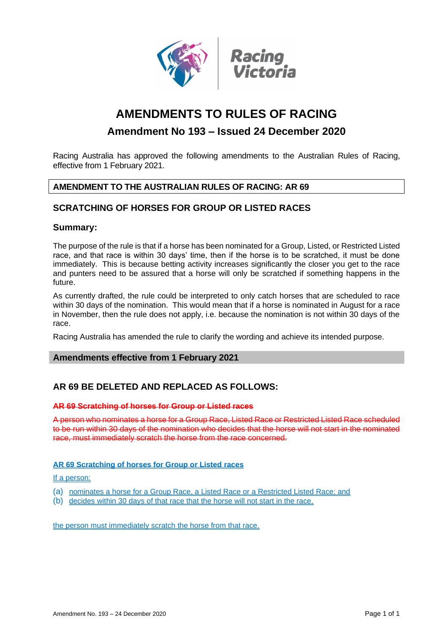

# **AMENDMENTS TO RULES OF RACING**

# **Amendment No 193 – Issued 24 December 2020**

Racing Australia has approved the following amendments to the Australian Rules of Racing, effective from 1 February 2021.

# **AMENDMENT TO THE AUSTRALIAN RULES OF RACING: AR 69**

# **SCRATCHING OF HORSES FOR GROUP OR LISTED RACES**

### **Summary:**

The purpose of the rule is that if a horse has been nominated for a Group, Listed, or Restricted Listed race, and that race is within 30 days' time, then if the horse is to be scratched, it must be done immediately. This is because betting activity increases significantly the closer you get to the race and punters need to be assured that a horse will only be scratched if something happens in the future.

As currently drafted, the rule could be interpreted to only catch horses that are scheduled to race within 30 days of the nomination. This would mean that if a horse is nominated in August for a race in November, then the rule does not apply, i.e. because the nomination is not within 30 days of the race.

Racing Australia has amended the rule to clarify the wording and achieve its intended purpose.

#### **Amendments effective from 1 February 2021**

# **AR 69 BE DELETED AND REPLACED AS FOLLOWS:**

#### **AR 69 Scratching of horses for Group or Listed races**

A person who nominates a horse for a Group Race, Listed Race or Restricted Listed Race scheduled to be run within 30 days of the nomination who decides that the horse will not start in the nominated race, must immediately scratch the horse from the race concerned.

#### **AR 69 Scratching of horses for Group or Listed races**

#### If a person:

- (a) nominates a horse for a Group Race, a Listed Race or a Restricted Listed Race; and
- (b) decides within 30 days of that race that the horse will not start in the race,

the person must immediately scratch the horse from that race.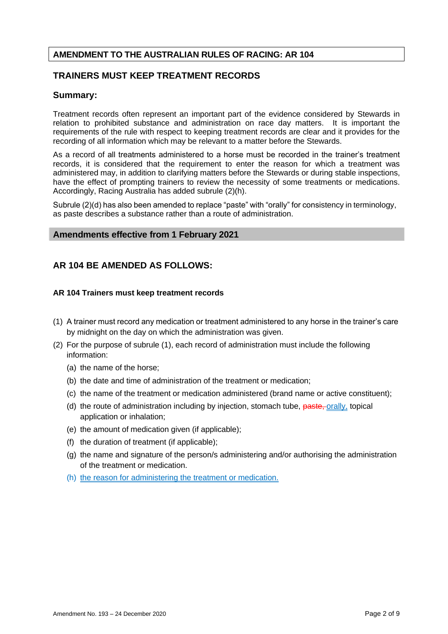# **TRAINERS MUST KEEP TREATMENT RECORDS**

### **Summary:**

Treatment records often represent an important part of the evidence considered by Stewards in relation to prohibited substance and administration on race day matters. It is important the requirements of the rule with respect to keeping treatment records are clear and it provides for the recording of all information which may be relevant to a matter before the Stewards.

As a record of all treatments administered to a horse must be recorded in the trainer's treatment records, it is considered that the requirement to enter the reason for which a treatment was administered may, in addition to clarifying matters before the Stewards or during stable inspections, have the effect of prompting trainers to review the necessity of some treatments or medications. Accordingly, Racing Australia has added subrule (2)(h).

Subrule (2)(d) has also been amended to replace "paste" with "orally" for consistency in terminology, as paste describes a substance rather than a route of administration.

### **Amendments effective from 1 February 2021**

# **AR 104 BE AMENDED AS FOLLOWS:**

#### **AR 104 Trainers must keep treatment records**

- (1) A trainer must record any medication or treatment administered to any horse in the trainer's care by midnight on the day on which the administration was given.
- (2) For the purpose of subrule (1), each record of administration must include the following information:
	- (a) the name of the horse;
	- (b) the date and time of administration of the treatment or medication;
	- (c) the name of the treatment or medication administered (brand name or active constituent);
	- (d) the route of administration including by injection, stomach tube, paste, orally, topical application or inhalation;
	- (e) the amount of medication given (if applicable);
	- (f) the duration of treatment (if applicable);
	- (g) the name and signature of the person/s administering and/or authorising the administration of the treatment or medication.
	- (h) the reason for administering the treatment or medication.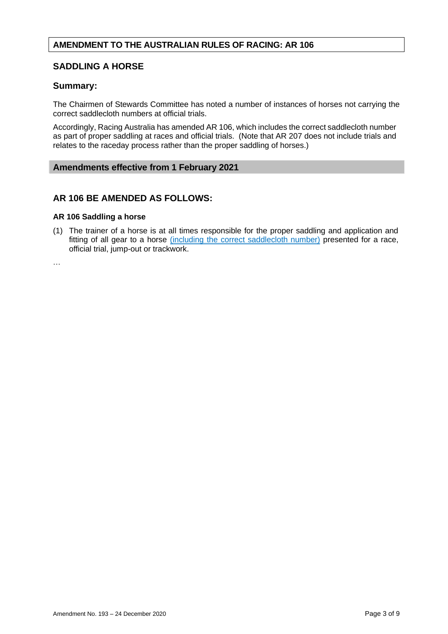# **SADDLING A HORSE**

# **Summary:**

The Chairmen of Stewards Committee has noted a number of instances of horses not carrying the correct saddlecloth numbers at official trials.

Accordingly, Racing Australia has amended AR 106, which includes the correct saddlecloth number as part of proper saddling at races and official trials. (Note that AR 207 does not include trials and relates to the raceday process rather than the proper saddling of horses.)

### **Amendments effective from 1 February 2021**

# **AR 106 BE AMENDED AS FOLLOWS:**

#### **AR 106 Saddling a horse**

(1) The trainer of a horse is at all times responsible for the proper saddling and application and fitting of all gear to a horse *(including the correct saddlecloth number)* presented for a race, official trial, jump-out or trackwork.

…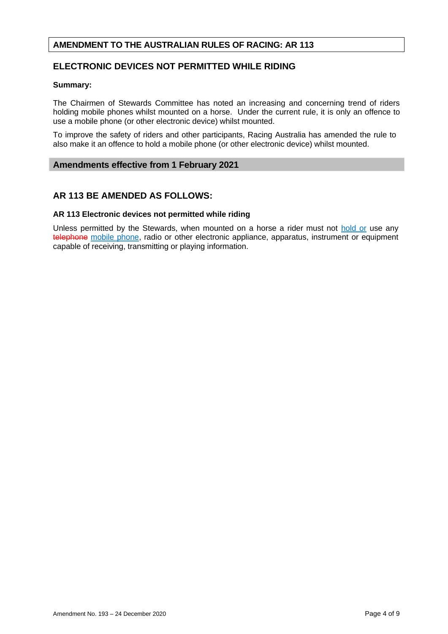# **ELECTRONIC DEVICES NOT PERMITTED WHILE RIDING**

#### **Summary:**

The Chairmen of Stewards Committee has noted an increasing and concerning trend of riders holding mobile phones whilst mounted on a horse. Under the current rule, it is only an offence to use a mobile phone (or other electronic device) whilst mounted.

To improve the safety of riders and other participants, Racing Australia has amended the rule to also make it an offence to hold a mobile phone (or other electronic device) whilst mounted.

#### **Amendments effective from 1 February 2021**

# **AR 113 BE AMENDED AS FOLLOWS:**

#### **AR 113 Electronic devices not permitted while riding**

Unless permitted by the Stewards, when mounted on a horse a rider must not hold or use any telephone mobile phone, radio or other electronic appliance, apparatus, instrument or equipment capable of receiving, transmitting or playing information.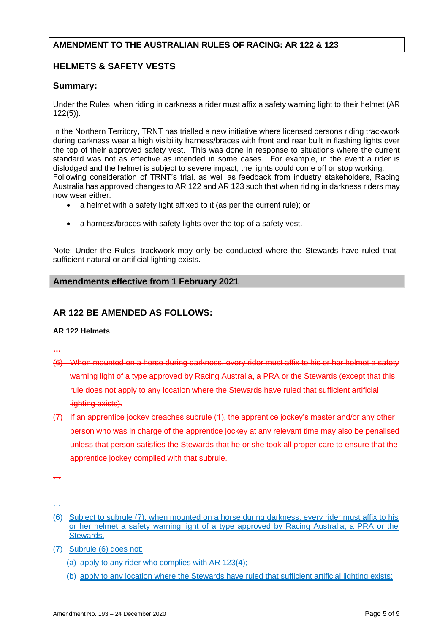# **HELMETS & SAFETY VESTS**

# **Summary:**

Under the Rules, when riding in darkness a rider must affix a safety warning light to their helmet (AR 122(5)).

In the Northern Territory, TRNT has trialled a new initiative where licensed persons riding trackwork during darkness wear a high visibility harness/braces with front and rear built in flashing lights over the top of their approved safety vest. This was done in response to situations where the current standard was not as effective as intended in some cases. For example, in the event a rider is dislodged and the helmet is subject to severe impact, the lights could come off or stop working. Following consideration of TRNT's trial, as well as feedback from industry stakeholders, Racing Australia has approved changes to AR 122 and AR 123 such that when riding in darkness riders may now wear either:

- a helmet with a safety light affixed to it (as per the current rule); or
- a harness/braces with safety lights over the top of a safety vest.

Note: Under the Rules, trackwork may only be conducted where the Stewards have ruled that sufficient natural or artificial lighting exists.

#### **Amendments effective from 1 February 2021**

# **AR 122 BE AMENDED AS FOLLOWS:**

#### **AR 122 Helmets**

**…**

- (6) When mounted on a horse during darkness, every rider must affix to his or her helmet a safety warning light of a type approved by Racing Australia, a PRA or the Stewards (except that this rule does not apply to any location where the Stewards have ruled that sufficient artificial lighting exists).
- (7) If an apprentice jockey breaches subrule (1), the apprentice jockey's master and/or any other person who was in charge of the apprentice jockey at any relevant time may also be penalised unless that person satisfies the Stewards that he or she took all proper care to ensure that the apprentice jockey complied with that subrule.

- (a) apply to any rider who complies with AR 123(4);
- (b) apply to any location where the Stewards have ruled that sufficient artificial lighting exists;

<sup>…</sup>

<sup>…</sup>

<sup>(6)</sup> Subject to subrule (7), when mounted on a horse during darkness, every rider must affix to his or her helmet a safety warning light of a type approved by Racing Australia, a PRA or the Stewards.

<sup>(7)</sup> Subrule (6) does not: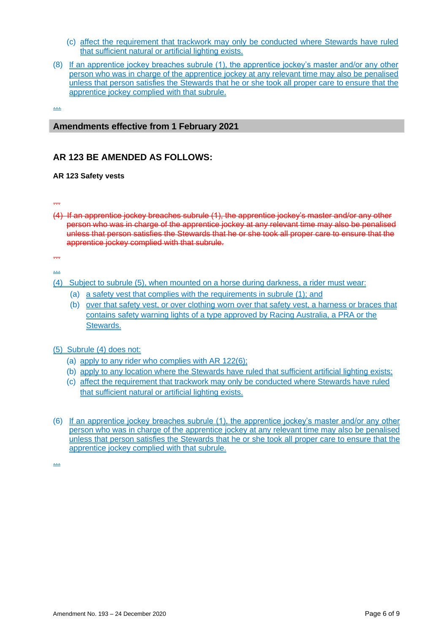- (c) affect the requirement that trackwork may only be conducted where Stewards have ruled that sufficient natural or artificial lighting exists.
- (8) If an apprentice jockey breaches subrule (1), the apprentice jockey's master and/or any other person who was in charge of the apprentice jockey at any relevant time may also be penalised unless that person satisfies the Stewards that he or she took all proper care to ensure that the apprentice jockey complied with that subrule.

…

#### **Amendments effective from 1 February 2021**

# **AR 123 BE AMENDED AS FOLLOWS:**

#### **AR 123 Safety vests**

…

(4) If an apprentice jockey breaches subrule (1), the apprentice jockey's master and/or any other person who was in charge of the apprentice jockey at any relevant time may also be penalised unless that person satisfies the Stewards that he or she took all proper care to ensure that the apprentice jockey complied with that subrule.

…

…

- (4) Subject to subrule (5), when mounted on a horse during darkness, a rider must wear:
	- (a) a safety vest that complies with the requirements in subrule (1); and
	- (b) over that safety vest, or over clothing worn over that safety vest, a harness or braces that contains safety warning lights of a type approved by Racing Australia, a PRA or the Stewards.

#### (5) Subrule (4) does not:

- (a) apply to any rider who complies with AR 122(6);
- (b) apply to any location where the Stewards have ruled that sufficient artificial lighting exists;
- (c) affect the requirement that trackwork may only be conducted where Stewards have ruled that sufficient natural or artificial lighting exists.
- (6) If an apprentice jockey breaches subrule (1), the apprentice jockey's master and/or any other person who was in charge of the apprentice jockey at any relevant time may also be penalised unless that person satisfies the Stewards that he or she took all proper care to ensure that the apprentice jockey complied with that subrule.

…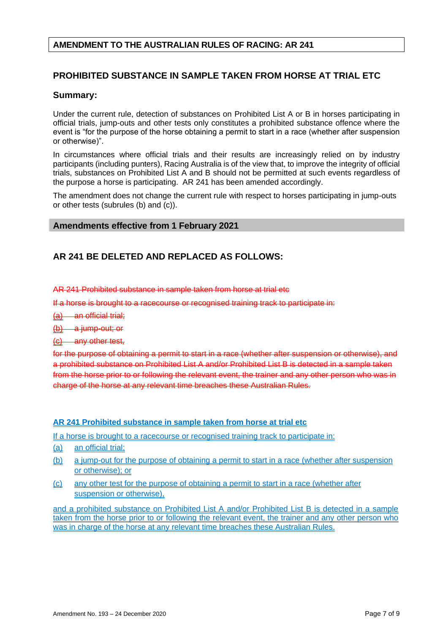# **PROHIBITED SUBSTANCE IN SAMPLE TAKEN FROM HORSE AT TRIAL ETC**

# **Summary:**

Under the current rule, detection of substances on Prohibited List A or B in horses participating in official trials, jump-outs and other tests only constitutes a prohibited substance offence where the event is "for the purpose of the horse obtaining a permit to start in a race (whether after suspension or otherwise)".

In circumstances where official trials and their results are increasingly relied on by industry participants (including punters), Racing Australia is of the view that, to improve the integrity of official trials, substances on Prohibited List A and B should not be permitted at such events regardless of the purpose a horse is participating. AR 241 has been amended accordingly.

The amendment does not change the current rule with respect to horses participating in jump-outs or other tests (subrules (b) and (c)).

#### **Amendments effective from 1 February 2021**

# **AR 241 BE DELETED AND REPLACED AS FOLLOWS:**

AR 241 Prohibited substance in sample taken from horse at trial etc

If a horse is brought to a racecourse or recognised training track to participate in:

- (a) an official trial;
- $(b)$  a jump-out; or
- (c) any other test,

for the purpose of obtaining a permit to start in a race (whether after suspension or otherwise), and a prohibited substance on Prohibited List A and/or Prohibited List B is detected in a sample taken from the horse prior to or following the relevant event, the trainer and any other person who was in charge of the horse at any relevant time breaches these Australian Rules.

#### **AR 241 Prohibited substance in sample taken from horse at trial etc**

If a horse is brought to a racecourse or recognised training track to participate in:

- (a) an official trial;
- (b) a jump-out for the purpose of obtaining a permit to start in a race (whether after suspension or otherwise); or
- (c) any other test for the purpose of obtaining a permit to start in a race (whether after suspension or otherwise),

and a prohibited substance on Prohibited List A and/or Prohibited List B is detected in a sample taken from the horse prior to or following the relevant event, the trainer and any other person who was in charge of the horse at any relevant time breaches these Australian Rules.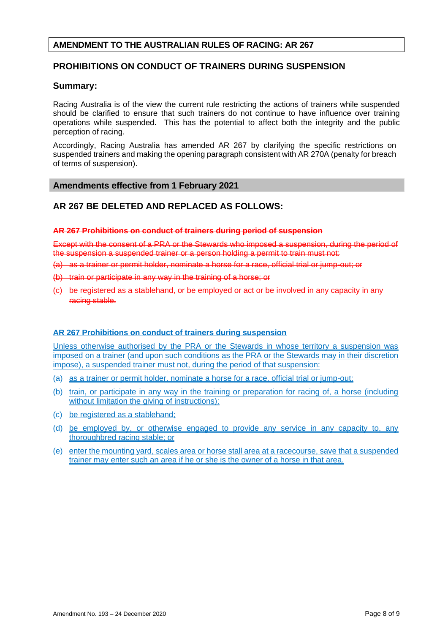# **PROHIBITIONS ON CONDUCT OF TRAINERS DURING SUSPENSION**

### **Summary:**

Racing Australia is of the view the current rule restricting the actions of trainers while suspended should be clarified to ensure that such trainers do not continue to have influence over training operations while suspended. This has the potential to affect both the integrity and the public perception of racing.

Accordingly, Racing Australia has amended AR 267 by clarifying the specific restrictions on suspended trainers and making the opening paragraph consistent with AR 270A (penalty for breach of terms of suspension).

# **Amendments effective from 1 February 2021**

# **AR 267 BE DELETED AND REPLACED AS FOLLOWS:**

#### **AR 267 Prohibitions on conduct of trainers during period of suspension**

Except with the consent of a PRA or the Stewards who imposed a suspension, during the period of the suspension a suspended trainer or a person holding a permit to train must not:

- (a) as a trainer or permit holder, nominate a horse for a race, official trial or jump-out; or
- (b) train or participate in any way in the training of a horse; or
- (c) be registered as a stablehand, or be employed or act or be involved in any capacity in any racing stable.

#### **AR 267 Prohibitions on conduct of trainers during suspension**

Unless otherwise authorised by the PRA or the Stewards in whose territory a suspension was imposed on a trainer (and upon such conditions as the PRA or the Stewards may in their discretion impose), a suspended trainer must not, during the period of that suspension:

- (a) as a trainer or permit holder, nominate a horse for a race, official trial or jump-out;
- (b) train, or participate in any way in the training or preparation for racing of, a horse (including without limitation the giving of instructions):
- (c) be registered as a stablehand;
- (d) be employed by, or otherwise engaged to provide any service in any capacity to, any thoroughbred racing stable; or
- (e) enter the mounting yard, scales area or horse stall area at a racecourse, save that a suspended trainer may enter such an area if he or she is the owner of a horse in that area.